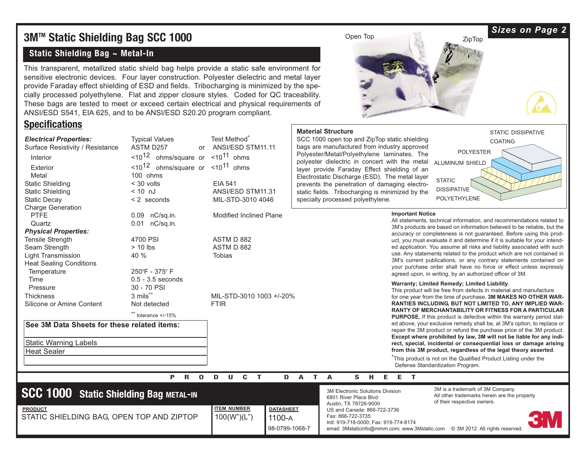# **3MTM Static Shielding Bag SCC 1000**

#### **Static Shielding Bag ~ Metal-In**

This transparent, metallized static shield bag helps provide a static safe environment for sensitive electronic devices. Four layer construction. Polyester dielectric and metal layer provide Faraday effect shielding of ESD and fields. Tribocharging is minimized by the specially processed polyethylene. Flat and zipper closure styles. Coded for QC traceability. These bags are tested to meet or exceed certain electrical and physical requirements of ANSI/ESD S541, EIA 625, and to be ANSI/ESD S20.20 program compliant.

### **Specifications**



# Open Top ZipTop ZipTop

#### **Material Structure**

SCC 1000 open top and ZipTop static shielding bags are manufactured from industry approved Polyester/Metal/Polyethylene laminates. The polyester dielectric in concert with the metal layer provide Faraday Effect shielding of an Electrostatic Discharge (ESD). The metal layer prevents the penetration of damaging electrostatic fields. Tribocharging is minimized by the specially processed polyethylene.



#### **Important Notice**

All statements, technical information, and recommendations related to 3M's products are based on information believed to be reliable, but the accuracy or completeness is not guaranteed. Before using this product, you must evaluate it and determine if it is suitable for your intended application. You assume all risks and liability associated with such use. Any statements related to the product which are not contained in 3M's current publications, or any contrary statements contained on your purchase order shall have no force or effect unless expressly agreed upon, in writing, by an authorized officer of 3M.

#### **Warranty; Limited Remedy; Limited Liability**.

This product will be free from defects in material and manufacture for one year from the time of purchase. **3M MAKES NO OTHER WAR-RANTIES INCLUDING, BUT NOT LIMITED TO, ANY IMPLIED WAR-RANTY OF MERCHANTABILITY OR FITNESS FOR A PARTICULAR PURPOSE.** If this product is defective within the warranty period stated above, your exclusive remedy shall be, at 3M's option, to replace or repair the 3M product or refund the purchase price of the 3M product. **Except where prohibited by law, 3M will not be liable for any indirect, special, incidental or consequential loss or damage arising from this 3M product, regardless of the legal theory asserted**.

\* This product is not on the Qualified Product Listing under the Defense Standardization Program.

#### **PRODUCT DATA SHEET**

# **SCC 1000 Static Shielding Bag METAL-IN**

STATIC SHIELDING BAG, OPEN TOP AND ZIPTOP

```
ITEM NUMBER
PRODUCT DATASHEET
                              100(W")(L") 1100-A
                                       98-0799-1068-7
```
3M Electronic Solutions Division 6801 River Place Blvd Austin, TX 78726-9000 US and Canada: 866-722-3736 Fax: 866-722-3735 Intl: 919-718-0000; Fax: 919-774-8174 email: 3Mstaticinfo@mmm.com; www.3Mstatic.com © 3M 2012. All rights reserved

3M is a trademark of 3M Company. All other trademarks herein are the property of their respective owners.

#### *Sizes on Page 2*